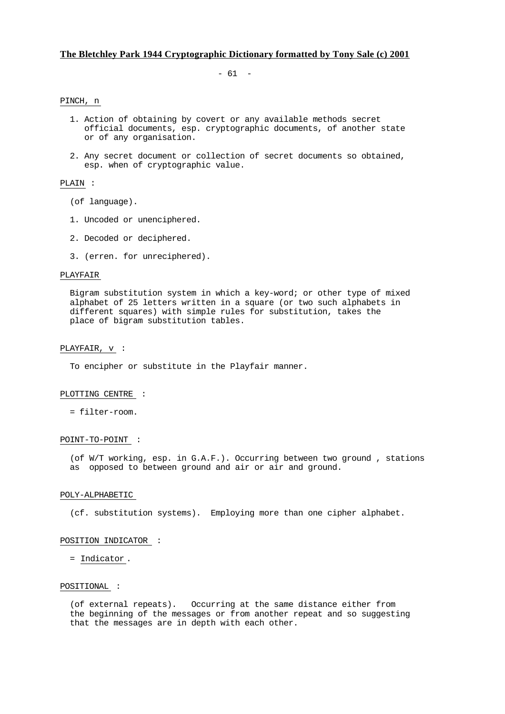$- 61 -$ 

## PINCH, n

- 1. Action of obtaining by covert or any available methods secret official documents, esp. cryptographic documents, of another state or of any organisation.
- 2. Any secret document or collection of secret documents so obtained, esp. when of cryptographic value.

## PLAIN :

- (of language).
- 1. Uncoded or unenciphered.
- 2. Decoded or deciphered.
- 3. (erren. for unreciphered).

## PLAYFAIR

 Bigram substitution system in which a key-word; or other type of mixed alphabet of 25 letters written in a square (or two such alphabets in different squares) with simple rules for substitution, takes the place of bigram substitution tables.

### PLAYFAIR, v :

To encipher or substitute in the Playfair manner.

### PLOTTING CENTRE :

= filter-room.

## POINT-TO-POINT :

 (of W/T working, esp. in G.A.F.). Occurring between two ground , stations as opposed to between ground and air or air and ground.

## POLY-ALPHABETIC

(cf. substitution systems). Employing more than one cipher alphabet.

#### POSITION INDICATOR :

= Indicator .

### POSITIONAL :

 (of external repeats). Occurring at the same distance either from the beginning of the messages or from another repeat and so suggesting that the messages are in depth with each other.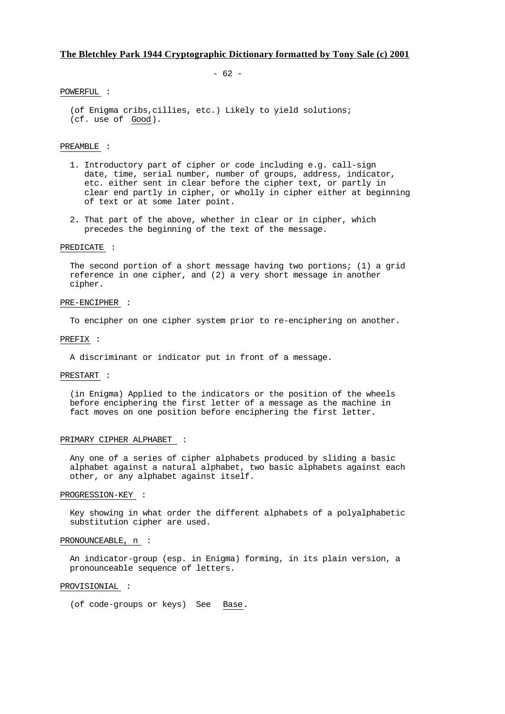$- 62 -$ 

### POWERFUL :

 (of Enigma cribs,cillies, etc.) Likely to yield solutions; (cf. use of Good).

### PREAMBLE :

- 1. Introductory part of cipher or code including e.g. call-sign date, time, serial number, number of groups, address, indicator, etc. either sent in clear before the cipher text, or partly in clear end partly in cipher, or wholly in cipher either at beginning of text or at some later point.
- 2. That part of the above, whether in clear or in cipher, which precedes the beginning of the text of the message.

### PREDICATE :

 The second portion of a short message having two portions; (1) a grid reference in one cipher, and (2) a very short message in another cipher.

### PRE-ENCIPHER :

To encipher on one cipher system prior to re-enciphering on another.

#### PREFIX :

A discriminant or indicator put in front of a message.

## PRESTART :

 (in Enigma) Applied to the indicators or the position of the wheels before enciphering the first letter of a message as the machine in fact moves on one position before enciphering the first letter.

### PRIMARY CIPHER ALPHABET :

 Any one of a series of cipher alphabets produced by sliding a basic alphabet against a natural alphabet, two basic alphabets against each other, or any alphabet against itself.

### PROGRESSION-KEY :

 Key showing in what order the different alphabets of a polyalphabetic substitution cipher are used.

# PRONOUNCEABLE, n :

 An indicator-group (esp. in Enigma) forming, in its plain version, a pronounceable sequence of letters.

### PROVISIONIAL :

(of code-groups or keys) See Base.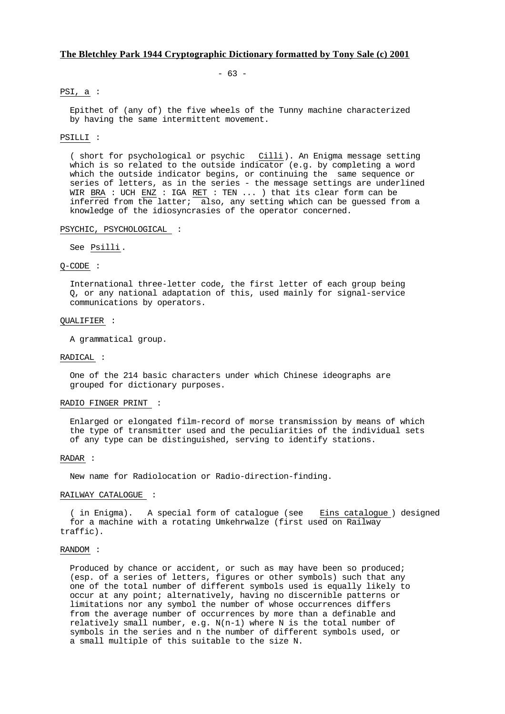- 63 -

## PSI, a :

 Epithet of (any of) the five wheels of the Tunny machine characterized by having the same intermittent movement.

## PSILLI :

 ( short for psychological or psychic Cilli). An Enigma message setting which is so related to the outside indicator (e.g. by completing a word which the outside indicator begins, or continuing the same sequence or series of letters, as in the series - the message settings are underlined WIR BRA : UCH ENZ : IGA RET : TEN ... ) that its clear form can be inferred from the latter; also, any setting which can be guessed from a knowledge of the idiosyncrasies of the operator concerned.

#### PSYCHIC, PSYCHOLOGICAL :

See Psilli .

# Q-CODE :

 International three-letter code, the first letter of each group being Q, or any national adaptation of this, used mainly for signal-service communications by operators.

#### QUALIFIER :

A grammatical group.

### RADICAL :

 One of the 214 basic characters under which Chinese ideographs are grouped for dictionary purposes.

## RADIO FINGER PRINT :

 Enlarged or elongated film-record of morse transmission by means of which the type of transmitter used and the peculiarities of the individual sets of any type can be distinguished, serving to identify stations.

### RADAR :

New name for Radiolocation or Radio-direction-finding.

### RAILWAY CATALOGUE :

 ( in Enigma). A special form of catalogue (see Eins catalogue ) designed for a machine with a rotating Umkehrwalze (first used on Railway traffic).

#### RANDOM :

 Produced by chance or accident, or such as may have been so produced; (esp. of a series of letters, figures or other symbols) such that any one of the total number of different symbols used is equally likely to occur at any point; alternatively, having no discernible patterns or limitations nor any symbol the number of whose occurrences differs from the average number of occurrences by more than a definable and relatively small number, e.g.  $N(n-1)$  where N is the total number of symbols in the series and n the number of different symbols used, or a small multiple of this suitable to the size N.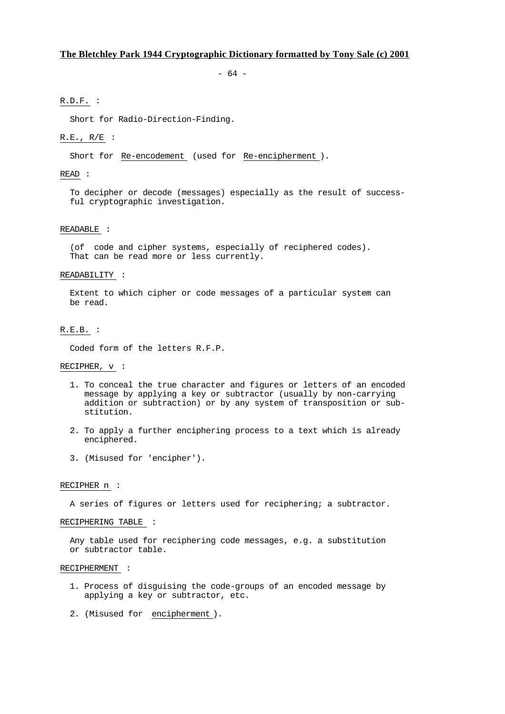- 64 -

# R.D.F. :

Short for Radio-Direction-Finding.

# $R.E., R/E$  :

Short for Re-encodement (used for Re-encipherment ).

### READ :

 To decipher or decode (messages) especially as the result of success ful cryptographic investigation.

## READABLE :

 (of code and cipher systems, especially of reciphered codes). That can be read more or less currently.

### READABILITY :

 Extent to which cipher or code messages of a particular system can be read.

# R.E.B. :

Coded form of the letters R.F.P.

### RECIPHER, v :

- 1. To conceal the true character and figures or letters of an encoded message by applying a key or subtractor (usually by non-carrying addition or subtraction) or by any system of transposition or sub stitution.
- 2. To apply a further enciphering process to a text which is already enciphered.
- 3. (Misused for 'encipher').

### RECIPHER n :

A series of figures or letters used for reciphering; a subtractor.

### RECIPHERING TABLE :

 Any table used for reciphering code messages, e.g. a substitution or subtractor table.

#### RECIPHERMENT :

- 1. Process of disguising the code-groups of an encoded message by applying a key or subtractor, etc.
- 2. (Misused for encipherment ).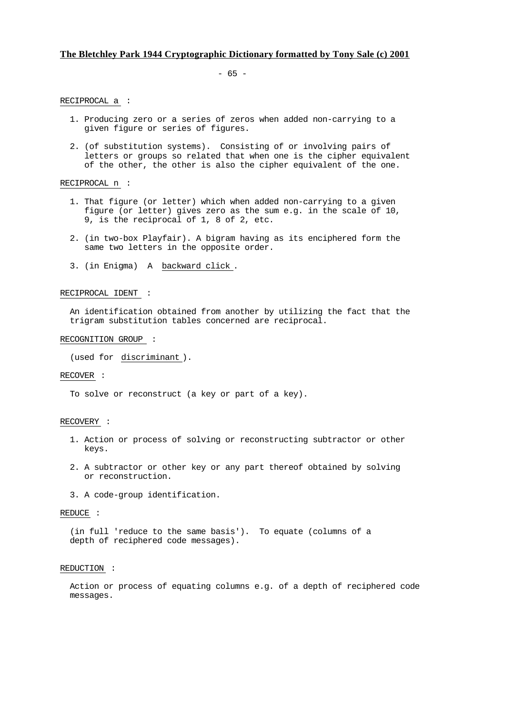$- 65 -$ 

RECIPROCAL a :

- 1. Producing zero or a series of zeros when added non-carrying to a given figure or series of figures.
- 2. (of substitution systems). Consisting of or involving pairs of letters or groups so related that when one is the cipher equivalent of the other, the other is also the cipher equivalent of the one.

## RECIPROCAL n :

- 1. That figure (or letter) which when added non-carrying to a given figure (or letter) gives zero as the sum e.g. in the scale of 10, 9, is the reciprocal of 1, 8 of 2, etc.
- 2. (in two-box Playfair). A bigram having as its enciphered form the same two letters in the opposite order.
- 3. (in Enigma) A backward click .

# RECIPROCAL IDENT :

 An identification obtained from another by utilizing the fact that the trigram substitution tables concerned are reciprocal.

#### RECOGNITION GROUP :

(used for discriminant ).

### RECOVER :

To solve or reconstruct (a key or part of a key).

## RECOVERY :

- 1. Action or process of solving or reconstructing subtractor or other keys.
- 2. A subtractor or other key or any part thereof obtained by solving or reconstruction.
- 3. A code-group identification.

### REDUCE :

 (in full 'reduce to the same basis'). To equate (columns of a depth of reciphered code messages).

### REDUCTION :

 Action or process of equating columns e.g. of a depth of reciphered code messages.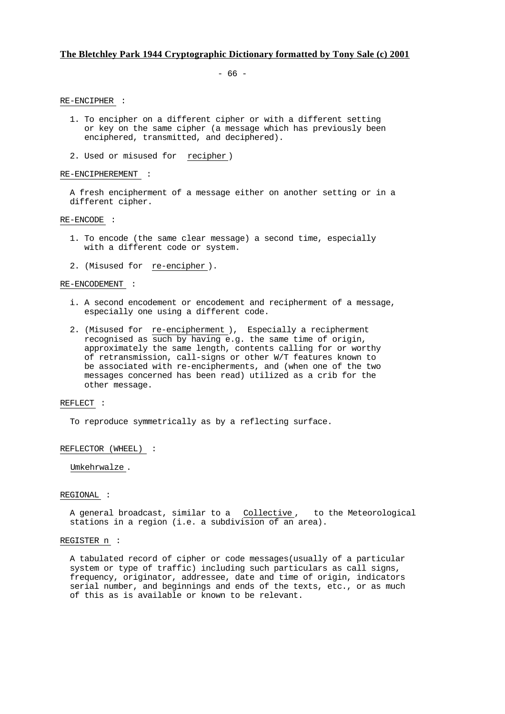$- 66 -$ 

RE-ENCIPHER :

- 1. To encipher on a different cipher or with a different setting or key on the same cipher (a message which has previously been enciphered, transmitted, and deciphered).
- 2. Used or misused for recipher )

#### RE-ENCIPHEREMENT :

 A fresh encipherment of a message either on another setting or in a different cipher.

RE-ENCODE :

- 1. To encode (the same clear message) a second time, especially with a different code or system.
- 2. (Misused for re-encipher ).

### RE-ENCODEMENT :

- i. A second encodement or encodement and recipherment of a message, especially one using a different code.
- 2. (Misused for re-encipherment ), Especially a recipherment recognised as such by having e.g. the same time of origin, approximately the same length, contents calling for or worthy of retransmission, call-signs or other W/T features known to be associated with re-encipherments, and (when one of the two messages concerned has been read) utilized as a crib for the other message.

## REFLECT :

To reproduce symmetrically as by a reflecting surface.

### REFLECTOR (WHEEL) :

Umkehrwalze .

## REGIONAL :

 A general broadcast, similar to a Collective , to the Meteorological stations in a region (i.e. a subdivision of an area).

#### REGISTER n :

 A tabulated record of cipher or code messages(usually of a particular system or type of traffic) including such particulars as call signs, frequency, originator, addressee, date and time of origin, indicators serial number, and beginnings and ends of the texts, etc., or as much of this as is available or known to be relevant.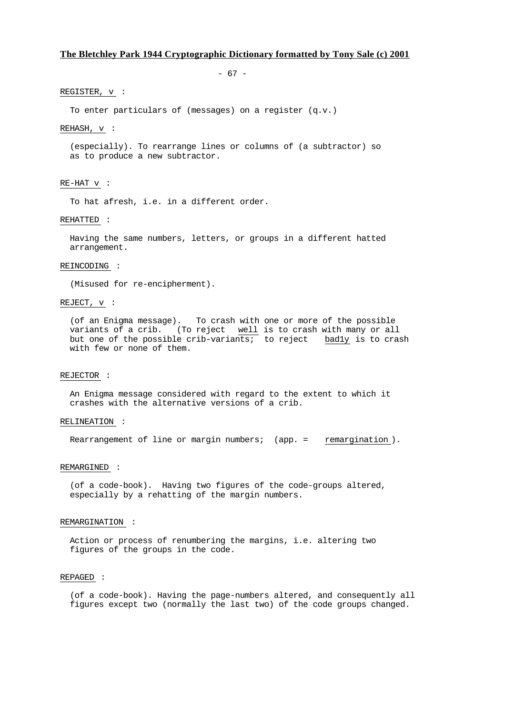- 67 -

#### REGISTER, v :

To enter particulars of (messages) on a register (q.v.)

#### REHASH, v :

 (especially). To rearrange lines or columns of (a subtractor) so as to produce a new subtractor.

## RE-HAT v :

To hat afresh, i.e. in a different order.

### REHATTED :

 Having the same numbers, letters, or groups in a different hatted arrangement.

## REINCODING :

(Misused for re-encipherment).

## REJECT, v :

 (of an Enigma message). To crash with one or more of the possible variants of a crib. (To reject well is to crash with many or all but one of the possible crib-variants; to reject bad1y is to crash with few or none of them.

### REJECTOR :

 An Enigma message considered with regard to the extent to which it crashes with the alternative versions of a crib.

### RELINEATION :

Rearrangement of line or margin numbers; (app. = remargination ).

### REMARGINED :

 (of a code-book). Having two figures of the code-groups altered, especially by a rehatting of the margin numbers.

### REMARGINATION :

 Action or process of renumbering the margins, i.e. altering two figures of the groups in the code.

#### REPAGED :

 (of a code-book). Having the page-numbers altered, and consequently all figures except two (normally the last two) of the code groups changed.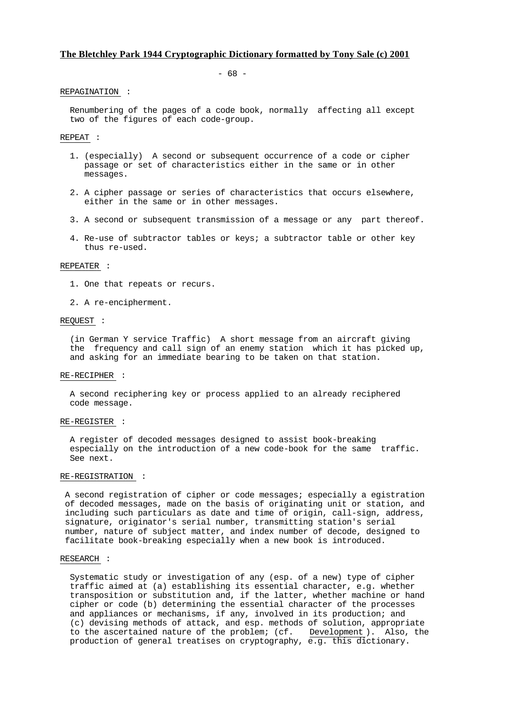- 68 -

### REPAGINATION :

 Renumbering of the pages of a code book, normally affecting all except two of the figures of each code-group.

## REPEAT :

- 1. (especially) A second or subsequent occurrence of a code or cipher passage or set of characteristics either in the same or in other messages.
- 2. A cipher passage or series of characteristics that occurs elsewhere, either in the same or in other messages.
- 3. A second or subsequent transmission of a message or any part thereof.
- 4. Re-use of subtractor tables or keys; a subtractor table or other key thus re-used.

#### REPEATER :

- 1. One that repeats or recurs.
- 2. A re-encipherment.

### REQUEST :

 (in German Y service Traffic) A short message from an aircraft giving the frequency and call sign of an enemy station which it has picked up, and asking for an immediate bearing to be taken on that station.

#### RE-RECIPHER :

 A second reciphering key or process applied to an already reciphered code message.

### RE-REGISTER :

 A register of decoded messages designed to assist book-breaking especially on the introduction of a new code-book for the same traffic. See next.

### RE-REGISTRATION :

 A second registration of cipher or code messages; especially a egistration of decoded messages, made on the basis of originating unit or station, and including such particulars as date and time of origin, call-sign, address, signature, originator's serial number, transmitting station's serial number, nature of subject matter, and index number of decode, designed to facilitate book-breaking especially when a new book is introduced.

#### RESEARCH :

 Systematic study or investigation of any (esp. of a new) type of cipher traffic aimed at (a) establishing its essential character, e.g. whether transposition or substitution and, if the latter, whether machine or hand cipher or code (b) determining the essential character of the processes and appliances or mechanisms, if any, involved in its production; and (c) devising methods of attack, and esp. methods of solution, appropriate to the ascertained nature of the problem; (cf. Development ). Also, the production of general treatises on cryptography, e.g. this dictionary.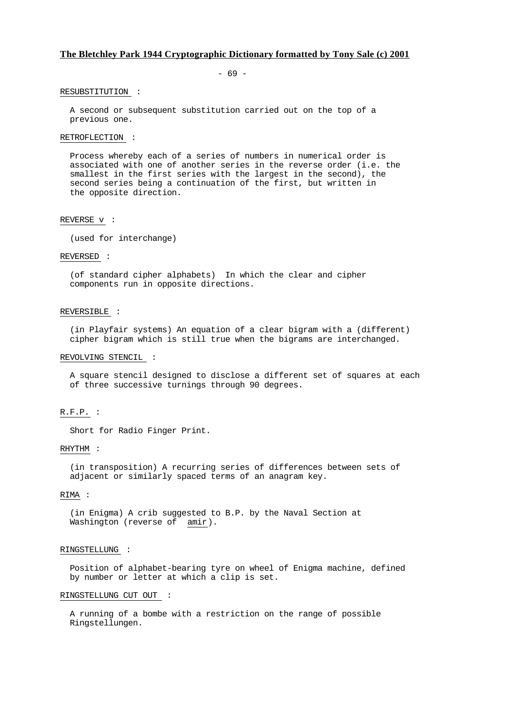- 69 -

### RESUBSTITUTION :

 A second or subsequent substitution carried out on the top of a previous one.

### RETROFLECTION :

 Process whereby each of a series of numbers in numerical order is associated with one of another series in the reverse order (i.e. the smallest in the first series with the largest in the second), the second series being a continuation of the first, but written in the opposite direction.

### REVERSE v :

(used for interchange)

### REVERSED :

 (of standard cipher alphabets) In which the clear and cipher components run in opposite directions.

### REVERSIBLE :

 (in Playfair systems) An equation of a clear bigram with a (different) cipher bigram which is still true when the bigrams are interchanged.

### REVOLVING STENCIL :

 A square stencil designed to disclose a different set of squares at each of three successive turnings through 90 degrees.

## R.F.P. :

Short for Radio Finger Print.

## RHYTHM :

 (in transposition) A recurring series of differences between sets of adjacent or similarly spaced terms of an anagram key.

## RIMA :

 (in Enigma) A crib suggested to B.P. by the Naval Section at Washington (reverse of amir).

### RINGSTELLUNG :

 Position of alphabet-bearing tyre on wheel of Enigma machine, defined by number or letter at which a clip is set.

## RINGSTELLUNG CUT OUT :

 A running of a bombe with a restriction on the range of possible Ringstellungen.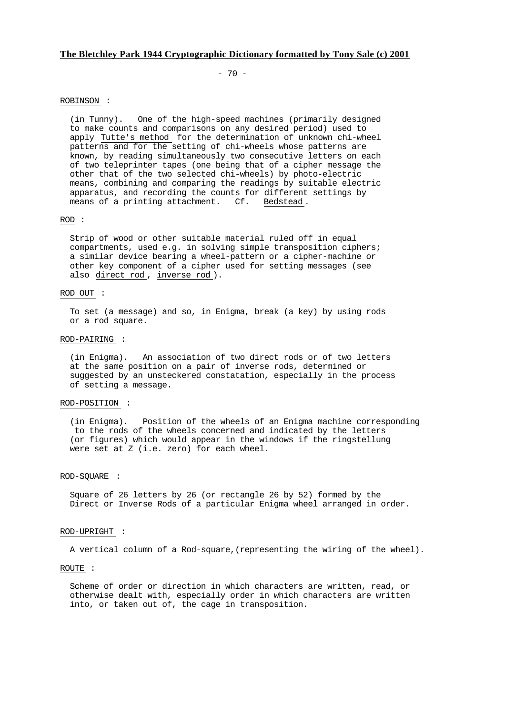$- 70 -$ 

### ROBINSON :

 (in Tunny). One of the high-speed machines (primarily designed to make counts and comparisons on any desired period) used to apply Tutte's method for the determination of unknown chi-wheel patterns and for the setting of chi-wheels whose patterns are known, by reading simultaneously two consecutive letters on each of two teleprinter tapes (one being that of a cipher message the other that of the two selected chi-wheels) by photo-electric means, combining and comparing the readings by suitable electric apparatus, and recording the counts for different settings by means of a printing attachment. Cf. Bedstead .

### ROD :

 Strip of wood or other suitable material ruled off in equal compartments, used e.g. in solving simple transposition ciphers; a similar device bearing a wheel-pattern or a cipher-machine or other key component of a cipher used for setting messages (see also direct rod , inverse rod ).

## ROD OUT :

 To set (a message) and so, in Enigma, break (a key) by using rods or a rod square.

#### ROD-PAIRING :

 (in Enigma). An association of two direct rods or of two letters at the same position on a pair of inverse rods, determined or suggested by an unsteckered constatation, especially in the process of setting a message.

## ROD-POSITION :

 (in Enigma). Position of the wheels of an Enigma machine corresponding to the rods of the wheels concerned and indicated by the letters (or figures) which would appear in the windows if the ringstellung were set at Z (i.e. zero) for each wheel.

# ROD-SQUARE :

 Square of 26 letters by 26 (or rectangle 26 by 52) formed by the Direct or Inverse Rods of a particular Enigma wheel arranged in order.

### ROD-UPRIGHT :

A vertical column of a Rod-square,(representing the wiring of the wheel).

#### ROUTE :

 Scheme of order or direction in which characters are written, read, or otherwise dealt with, especially order in which characters are written into, or taken out of, the cage in transposition.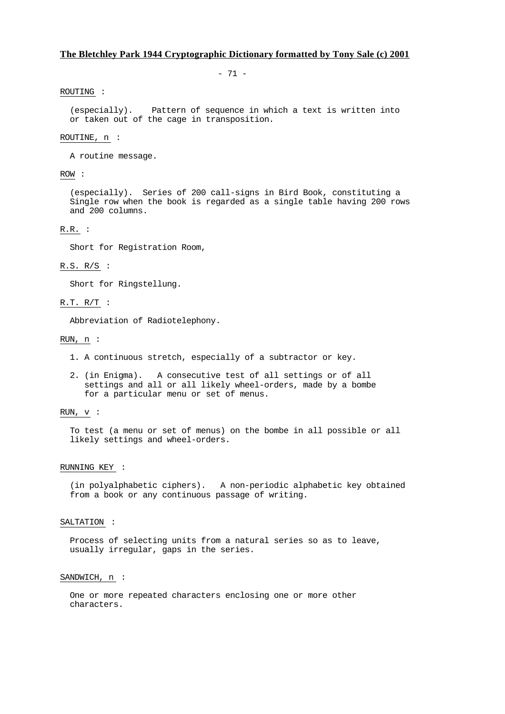- 71 -

### ROUTING :

 (especially). Pattern of sequence in which a text is written into or taken out of the cage in transposition.

### ROUTINE, n :

A routine message.

## ROW :

 (especially). Series of 200 call-signs in Bird Book, constituting a Single row when the book is regarded as a single table having 200 rows and 200 columns.

# R.R. :

Short for Registration Room,

## R.S. R/S :

Short for Ringstellung.

### R.T. R/T :

Abbreviation of Radiotelephony.

### RUN, n :

- 1. A continuous stretch, especially of a subtractor or key.
- 2. (in Enigma). A consecutive test of all settings or of all settings and all or all likely wheel-orders, made by a bombe for a particular menu or set of menus.

## RUN, v :

 To test (a menu or set of menus) on the bombe in all possible or all likely settings and wheel-orders.

## RUNNING KEY :

 (in polyalphabetic ciphers). A non-periodic alphabetic key obtained from a book or any continuous passage of writing.

## SALTATION :

 Process of selecting units from a natural series so as to leave, usually irregular, gaps in the series.

### SANDWICH, n :

 One or more repeated characters enclosing one or more other characters.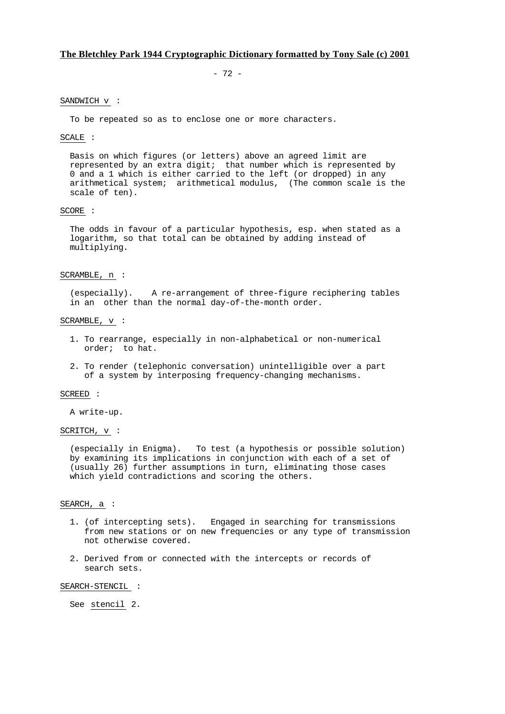- 72 -

## SANDWICH v :

To be repeated so as to enclose one or more characters.

### SCALE :

 Basis on which figures (or letters) above an agreed limit are represented by an extra digit; that number which is represented by 0 and a 1 which is either carried to the left (or dropped) in any arithmetical system; arithmetical modulus, (The common scale is the scale of ten).

### SCORE :

 The odds in favour of a particular hypothesis, esp. when stated as a logarithm, so that total can be obtained by adding instead of multiplying.

#### SCRAMBLE, n :

 (especially). A re-arrangement of three-figure reciphering tables in an other than the normal day-of-the-month order.

#### SCRAMBLE, v :

- 1. To rearrange, especially in non-alphabetical or non-numerical order; to hat.
- 2. To render (telephonic conversation) unintelligible over a part of a system by interposing frequency-changing mechanisms.

#### SCREED :

A write-up.

## SCRITCH,  $v :$

 (especially in Enigma). To test (a hypothesis or possible solution) by examining its implications in conjunction with each of a set of (usually 26) further assumptions in turn, eliminating those cases which yield contradictions and scoring the others.

## SEARCH, a :

- 1. (of intercepting sets). Engaged in searching for transmissions from new stations or on new frequencies or any type of transmission not otherwise covered.
- 2. Derived from or connected with the intercepts or records of search sets.

SEARCH-STENCIL :

See stencil 2.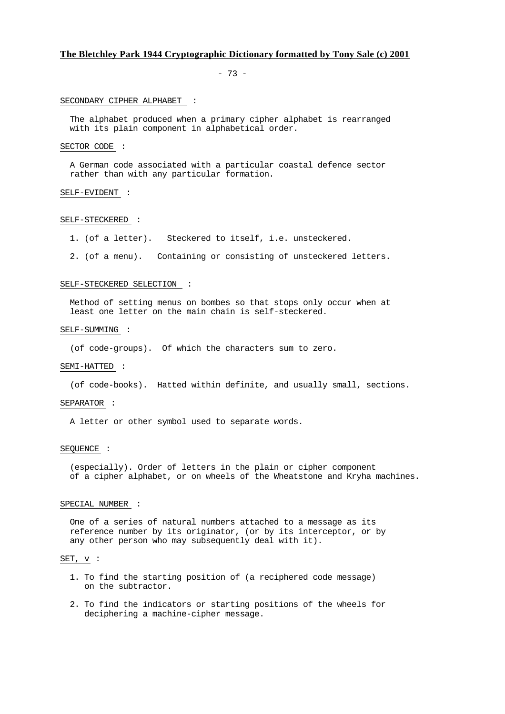- 73 -

## SECONDARY CIPHER ALPHABET :

 The alphabet produced when a primary cipher alphabet is rearranged with its plain component in alphabetical order.

#### SECTOR CODE :

 A German code associated with a particular coastal defence sector rather than with any particular formation.

### SELF-EVIDENT :

### SELF-STECKERED :

- 1. (of a letter). Steckered to itself, i.e. unsteckered.
- 2. (of a menu). Containing or consisting of unsteckered letters.

### SELF-STECKERED SELECTION :

 Method of setting menus on bombes so that stops only occur when at least one letter on the main chain is self-steckered.

### SELF-SUMMING :

(of code-groups). Of which the characters sum to zero.

### SEMI-HATTED :

(of code-books). Hatted within definite, and usually small, sections.

## SEPARATOR :

A letter or other symbol used to separate words.

### SEQUENCE :

 (especially). Order of letters in the plain or cipher component of a cipher alphabet, or on wheels of the Wheatstone and Kryha machines.

### SPECIAL NUMBER :

 One of a series of natural numbers attached to a message as its reference number by its originator, (or by its interceptor, or by any other person who may subsequently deal with it).

#### SET, v :

- 1. To find the starting position of (a reciphered code message) on the subtractor.
- 2. To find the indicators or starting positions of the wheels for deciphering a machine-cipher message.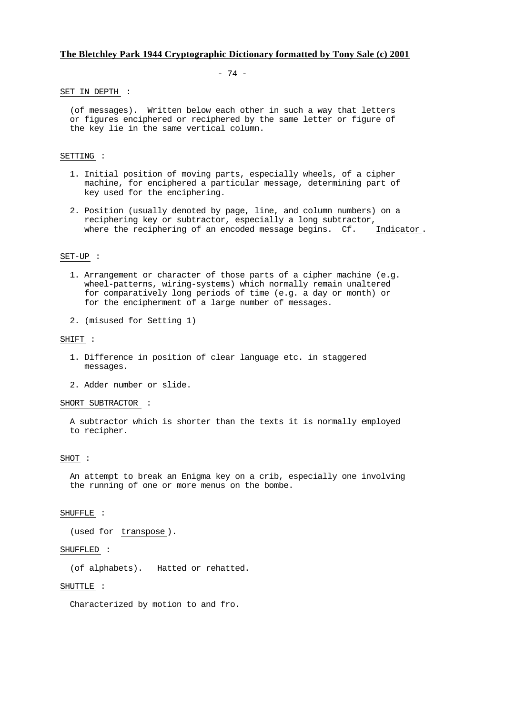- 74 -

### SET IN DEPTH :

 (of messages). Written below each other in such a way that letters or figures enciphered or reciphered by the same letter or figure of the key lie in the same vertical column.

### SETTING :

- 1. Initial position of moving parts, especially wheels, of a cipher machine, for enciphered a particular message, determining part of key used for the enciphering.
- 2. Position (usually denoted by page, line, and column numbers) on a reciphering key or subtractor, especially a long subtractor, where the reciphering of an encoded message begins. Cf. Indicator .

### SET-UP :

- 1. Arrangement or character of those parts of a cipher machine (e.g. wheel-patterns, wiring-systems) which normally remain unaltered for comparatively long periods of time (e.g. a day or month) or for the encipherment of a large number of messages.
- 2. (misused for Setting 1)

#### SHIFT :

- 1. Difference in position of clear language etc. in staggered messages.
- 2. Adder number or slide.

## SHORT SUBTRACTOR :

 A subtractor which is shorter than the texts it is normally employed to recipher.

## SHOT :

 An attempt to break an Enigma key on a crib, especially one involving the running of one or more menus on the bombe.

### SHUFFLE :

(used for transpose ).

#### SHUFFLED :

(of alphabets). Hatted or rehatted.

## SHUTTLE :

Characterized by motion to and fro.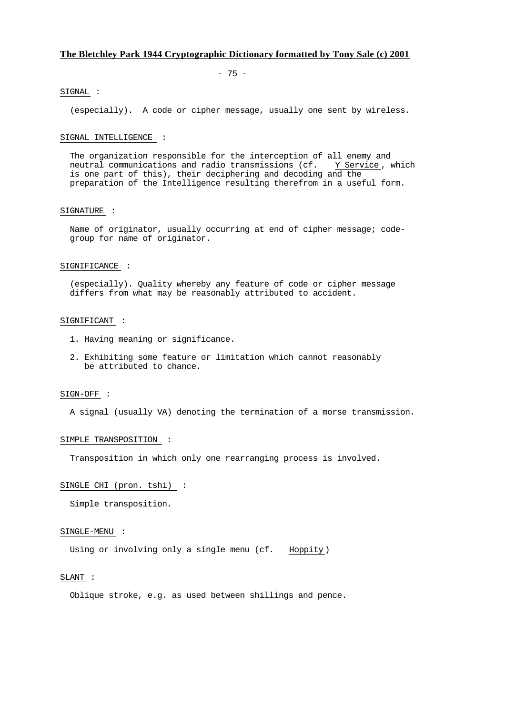- 75 -

### SIGNAL :

(especially). A code or cipher message, usually one sent by wireless.

### SIGNAL INTELLIGENCE :

The organization responsible for the interception of all enemy and neutral communications and radio transmissions (cf.  $\frac{Y}{Y}$  Service, which neutral communications and radio transmissions (cf. is one part of this), their deciphering and decoding and the preparation of the Intelligence resulting therefrom in a useful form.

### SIGNATURE :

 Name of originator, usually occurring at end of cipher message; code group for name of originator.

## SIGNIFICANCE :

 (especially). Quality whereby any feature of code or cipher message differs from what may be reasonably attributed to accident.

### SIGNIFICANT :

- 1. Having meaning or significance.
- 2. Exhibiting some feature or limitation which cannot reasonably be attributed to chance.

### SIGN-OFF :

A signal (usually VA) denoting the termination of a morse transmission.

### SIMPLE TRANSPOSITION :

Transposition in which only one rearranging process is involved.

## SINGLE CHI (pron. tshi) :

Simple transposition.

### SINGLE-MENU :

Using or involving only a single menu (cf. Hoppity )

### SLANT :

Oblique stroke, e.g. as used between shillings and pence.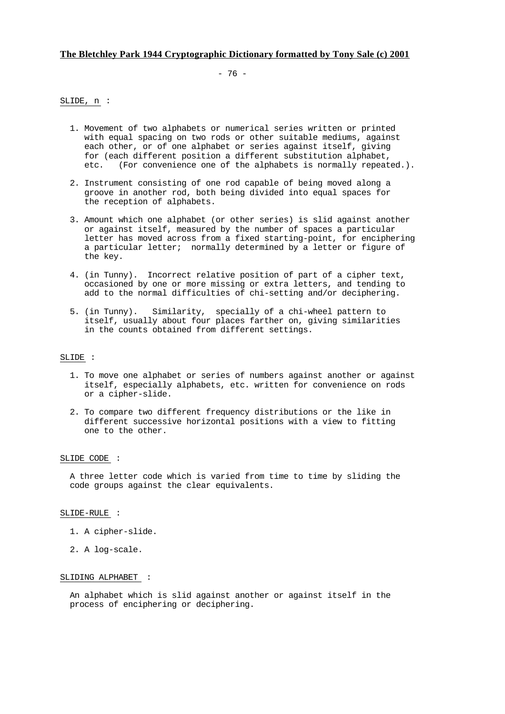- 76 -

SLIDE, n :

- 1. Movement of two alphabets or numerical series written or printed with equal spacing on two rods or other suitable mediums, against each other, or of one alphabet or series against itself, giving for (each different position a different substitution alphabet, etc. (For convenience one of the alphabets is normally repeated.).
- 2. Instrument consisting of one rod capable of being moved along a groove in another rod, both being divided into equal spaces for the reception of alphabets.
- 3. Amount which one alphabet (or other series) is slid against another or against itself, measured by the number of spaces a particular letter has moved across from a fixed starting-point, for enciphering a particular letter; normally determined by a letter or figure of the key.
- 4. (in Tunny). Incorrect relative position of part of a cipher text, occasioned by one or more missing or extra letters, and tending to add to the normal difficulties of chi-setting and/or deciphering.
- 5. (in Tunny). Similarity, specially of a chi-wheel pattern to itself, usually about four places farther on, giving similarities in the counts obtained from different settings.

## SLIDE :

- 1. To move one alphabet or series of numbers against another or against itself, especially alphabets, etc. written for convenience on rods or a cipher-slide.
- 2. To compare two different frequency distributions or the like in different successive horizontal positions with a view to fitting one to the other.

### SLIDE CODE :

 A three letter code which is varied from time to time by sliding the code groups against the clear equivalents.

#### SLIDE-RULE :

- 1. A cipher-slide.
- 2. A log-scale.

#### SLIDING ALPHABET :

 An alphabet which is slid against another or against itself in the process of enciphering or deciphering.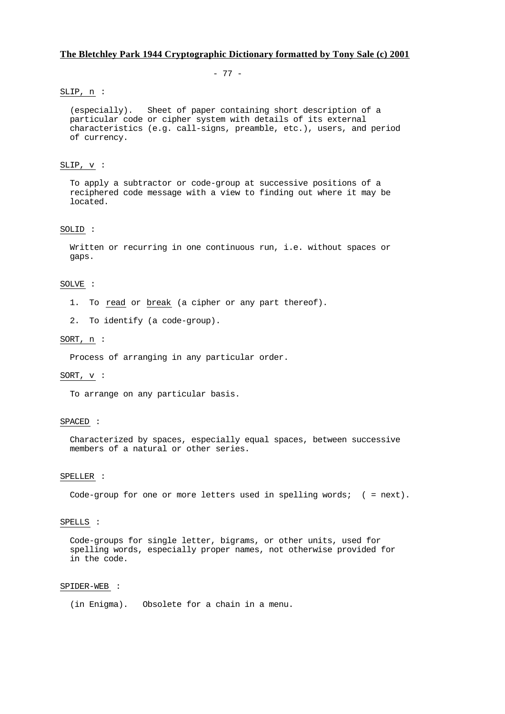- 77 -

## SLIP, n :

 (especially). Sheet of paper containing short description of a particular code or cipher system with details of its external characteristics (e.g. call-signs, preamble, etc.), users, and period of currency.

## SLIP, v :

 To apply a subtractor or code-group at successive positions of a reciphered code message with a view to finding out where it may be located.

# SOLID :

 Written or recurring in one continuous run, i.e. without spaces or gaps.

# SOLVE :

- 1. To read or break (a cipher or any part thereof).
- 2. To identify (a code-group).

### SORT, n :

Process of arranging in any particular order.

### SORT, v :

To arrange on any particular basis.

## SPACED :

 Characterized by spaces, especially equal spaces, between successive members of a natural or other series.

# SPELLER :

Code-group for one or more letters used in spelling words; ( = next).

### SPELLS :

 Code-groups for single letter, bigrams, or other units, used for spelling words, especially proper names, not otherwise provided for in the code.

## SPIDER-WEB :

(in Enigma). Obsolete for a chain in a menu.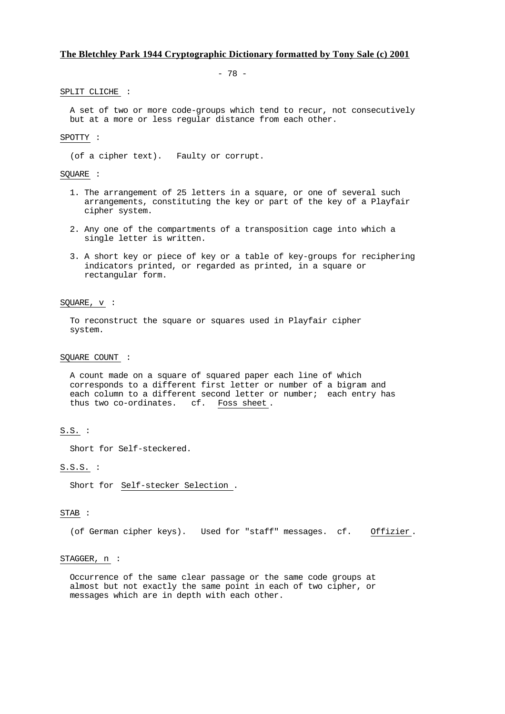- 78 -

### SPLIT CLICHE :

 A set of two or more code-groups which tend to recur, not consecutively but at a more or less regular distance from each other.

## SPOTTY :

(of a cipher text). Faulty or corrupt.

#### SOUARE :

- 1. The arrangement of 25 letters in a square, or one of several such arrangements, constituting the key or part of the key of a Playfair cipher system.
- 2. Any one of the compartments of a transposition cage into which a single letter is written.
- 3. A short key or piece of key or a table of key-groups for reciphering indicators printed, or regarded as printed, in a square or rectangular form.

## SQUARE, v :

 To reconstruct the square or squares used in Playfair cipher system.

### SQUARE COUNT :

 A count made on a square of squared paper each line of which corresponds to a different first letter or number of a bigram and each column to a different second letter or number; each entry has thus two co-ordinates. cf. Foss sheet .

# S.S. :

Short for Self-steckered.

# S.S.S. :

Short for Self-stecker Selection .

### STAB :

(of German cipher keys). Used for "staff" messages. cf. Offizier .

### STAGGER, n :

 Occurrence of the same clear passage or the same code groups at almost but not exactly the same point in each of two cipher, or messages which are in depth with each other.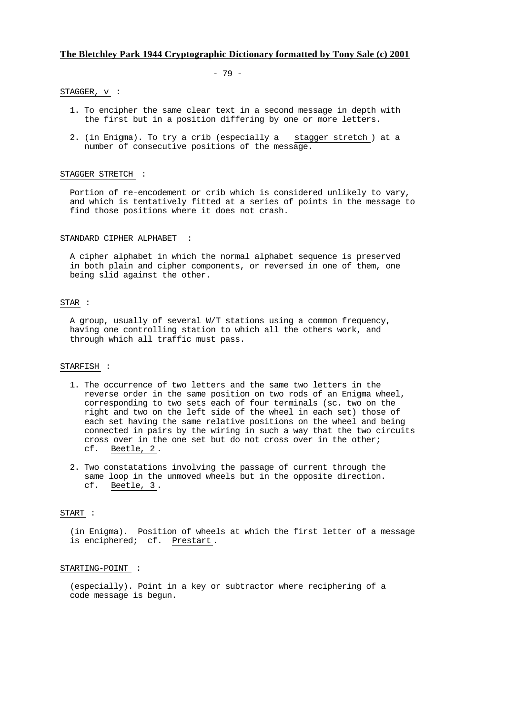- 79 -

#### STAGGER,  $v :$

- 1. To encipher the same clear text in a second message in depth with the first but in a position differing by one or more letters.
- 2. (in Enigma). To try a crib (especially a stagger stretch ) at a number of consecutive positions of the message.

#### STAGGER STRETCH :

 Portion of re-encodement or crib which is considered unlikely to vary, and which is tentatively fitted at a series of points in the message to find those positions where it does not crash.

### STANDARD CIPHER ALPHABET :

 A cipher alphabet in which the normal alphabet sequence is preserved in both plain and cipher components, or reversed in one of them, one being slid against the other.

## STAR :

 A group, usually of several W/T stations using a common frequency, having one controlling station to which all the others work, and through which all traffic must pass.

### STARFISH :

- 1. The occurrence of two letters and the same two letters in the reverse order in the same position on two rods of an Enigma wheel, corresponding to two sets each of four terminals (sc. two on the right and two on the left side of the wheel in each set) those of each set having the same relative positions on the wheel and being connected in pairs by the wiring in such a way that the two circuits cross over in the one set but do not cross over in the other; cf. Beetle, 2 .
- 2. Two constatations involving the passage of current through the same loop in the unmoved wheels but in the opposite direction. cf. Beetle, 3 .

#### START :

 (in Enigma). Position of wheels at which the first letter of a message is enciphered; cf. Prestart .

#### STARTING-POINT :

 (especially). Point in a key or subtractor where reciphering of a code message is begun.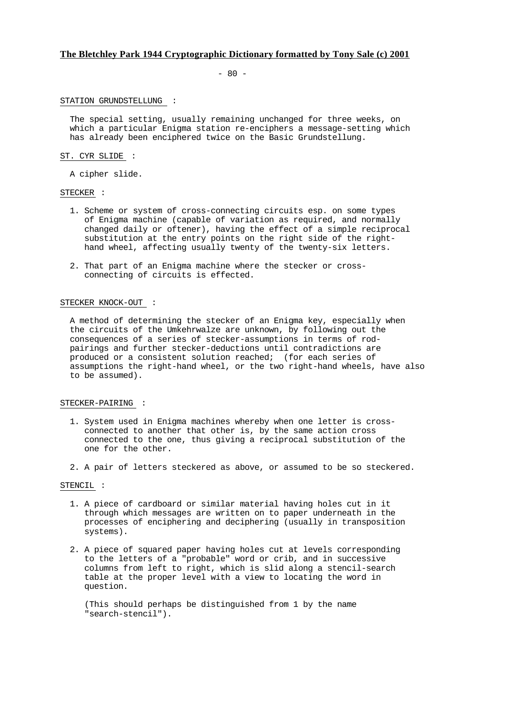$- 80 -$ 

### STATION GRUNDSTELLUNG :

 The special setting, usually remaining unchanged for three weeks, on which a particular Enigma station re-enciphers a message-setting which has already been enciphered twice on the Basic Grundstellung.

### ST. CYR SLIDE :

A cipher slide.

## STECKER :

- 1. Scheme or system of cross-connecting circuits esp. on some types of Enigma machine (capable of variation as required, and normally changed daily or oftener), having the effect of a simple reciprocal substitution at the entry points on the right side of the right hand wheel, affecting usually twenty of the twenty-six letters.
- 2. That part of an Enigma machine where the stecker or cross connecting of circuits is effected.

#### STECKER KNOCK-OUT :

 A method of determining the stecker of an Enigma key, especially when the circuits of the Umkehrwalze are unknown, by following out the consequences of a series of stecker-assumptions in terms of rod pairings and further stecker-deductions until contradictions are produced or a consistent solution reached; (for each series of assumptions the right-hand wheel, or the two right-hand wheels, have also to be assumed).

## STECKER-PAIRING :

- 1. System used in Enigma machines whereby when one letter is cross connected to another that other is, by the same action cross connected to the one, thus giving a reciprocal substitution of the one for the other.
- 2. A pair of letters steckered as above, or assumed to be so steckered.

### STENCIL :

- 1. A piece of cardboard or similar material having holes cut in it through which messages are written on to paper underneath in the processes of enciphering and deciphering (usually in transposition systems).
- 2. A piece of squared paper having holes cut at levels corresponding to the letters of a "probable" word or crib, and in successive columns from left to right, which is slid along a stencil-search table at the proper level with a view to locating the word in question.

 (This should perhaps be distinguished from 1 by the name "search-stencil").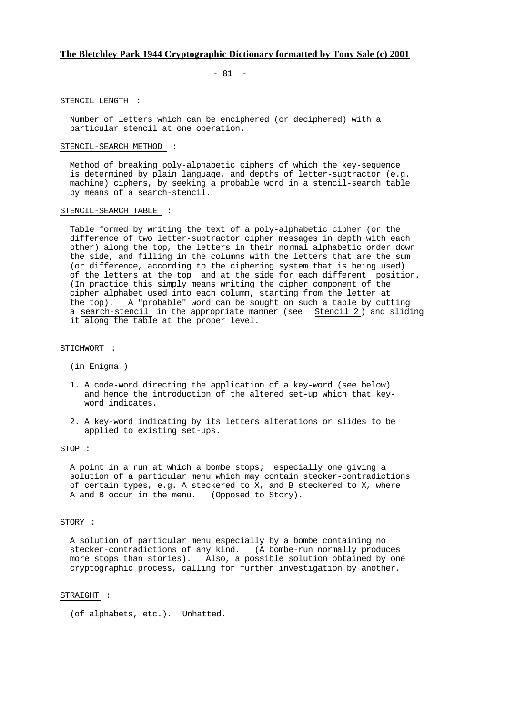- 81 -

## STENCIL LENGTH :

 Number of letters which can be enciphered (or deciphered) with a particular stencil at one operation.

## STENCIL-SEARCH METHOD :

 Method of breaking poly-alphabetic ciphers of which the key-sequence is determined by plain language, and depths of letter-subtractor (e.g. machine) ciphers, by seeking a probable word in a stencil-search table by means of a search-stencil.

#### STENCIL-SEARCH TABLE :

 Table formed by writing the text of a poly-alphabetic cipher (or the difference of two letter-subtractor cipher messages in depth with each other) along the top, the letters in their normal alphabetic order down the side, and filling in the columns with the letters that are the sum (or difference, according to the ciphering system that is being used) of the letters at the top and at the side for each different position. (In practice this simply means writing the cipher component of the cipher alphabet used into each column, starting from the letter at the top). A "probable" word can be sought on such a table by cutting a search-stencil in the appropriate manner (see Stencil 2 ) and sliding it along the table at the proper level.

### STICHWORT :

(in Enigma.)

- 1. A code-word directing the application of a key-word (see below) and hence the introduction of the altered set-up which that key word indicates.
- 2. A key-word indicating by its letters alterations or slides to be applied to existing set-ups.

## STOP :

 A point in a run at which a bombe stops; especially one giving a solution of a particular menu which may contain stecker-contradictions of certain types, e.g. A steckered to X, and B steckered to X, where A and B occur in the menu. (Opposed to Story). A and B occur in the menu.

### STORY :

 A solution of particular menu especially by a bombe containing no stecker-contradictions of any kind. (A bombe-run normally produces more stops than stories). Also, a possible solution obtained by one cryptographic process, calling for further investigation by another.

# STRAIGHT :

(of alphabets, etc.). Unhatted.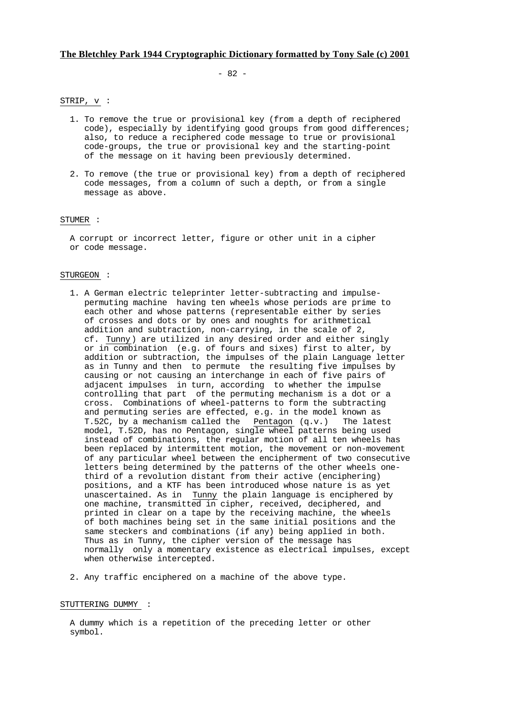- 82 -

# STRIP, v :

- 1. To remove the true or provisional key (from a depth of reciphered code), especially by identifying good groups from good differences; also, to reduce a reciphered code message to true or provisional code-groups, the true or provisional key and the starting-point of the message on it having been previously determined.
- 2. To remove (the true or provisional key) from a depth of reciphered code messages, from a column of such a depth, or from a single message as above.

### STUMER :

 A corrupt or incorrect letter, figure or other unit in a cipher or code message.

### STURGEON :

- 1. A German electric teleprinter letter-subtracting and impulse permuting machine having ten wheels whose periods are prime to each other and whose patterns (representable either by series of crosses and dots or by ones and noughts for arithmetical addition and subtraction, non-carrying, in the scale of 2, cf. Tunny) are utilized in any desired order and either singly or in combination (e.g. of fours and sixes) first to alter, by addition or subtraction, the impulses of the plain Language letter as in Tunny and then to permute the resulting five impulses by causing or not causing an interchange in each of five pairs of adjacent impulses in turn, according to whether the impulse controlling that part of the permuting mechanism is a dot or a cross. Combinations of wheel-patterns to form the subtracting and permuting series are effected, e.g. in the model known as  $T.52C$ , by a mechanism called the Pentagon  $(q.v.)$  The latest T.52C, by a mechanism called the Pentagon  $(q.v.)$  model, T.52D, has no Pentagon, single wheel patterns being used instead of combinations, the regular motion of all ten wheels has been replaced by intermittent motion, the movement or non-movement of any particular wheel between the encipherment of two consecutive letters being determined by the patterns of the other wheels one third of a revolution distant from their active (enciphering) positions, and a KTF has been introduced whose nature is as yet unascertained. As in Tunny the plain language is enciphered by one machine, transmitted in cipher, received, deciphered, and printed in clear on a tape by the receiving machine, the wheels of both machines being set in the same initial positions and the same steckers and combinations (if any) being applied in both. Thus as in Tunny, the cipher version of the message has normally only a momentary existence as electrical impulses, except when otherwise intercepted.
- 2. Any traffic enciphered on a machine of the above type.

STUTTERING DUMMY :

 A dummy which is a repetition of the preceding letter or other symbol.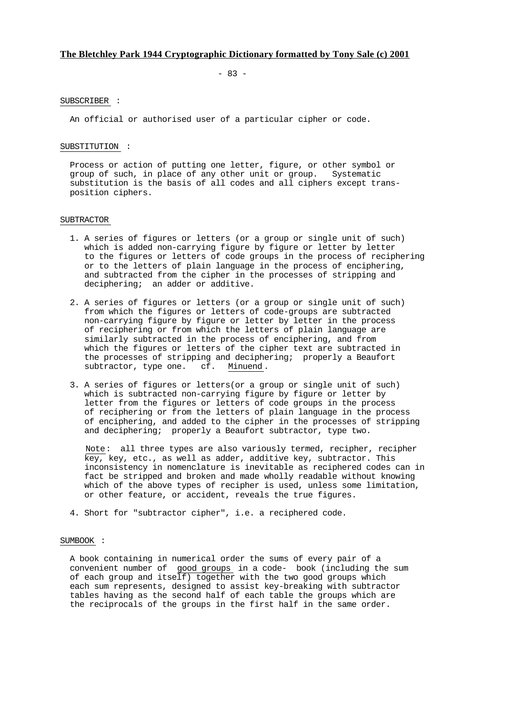$- 83 -$ 

### SUBSCRIBER :

An official or authorised user of a particular cipher or code.

## SUBSTITUTION :

 Process or action of putting one letter, figure, or other symbol or group of such, in place of any other unit or group. Systematic substitution is the basis of all codes and all ciphers except trans position ciphers.

### **SUBTRACTOR**

- 1. A series of figures or letters (or a group or single unit of such) which is added non-carrying figure by figure or letter by letter to the figures or letters of code groups in the process of reciphering or to the letters of plain language in the process of enciphering, and subtracted from the cipher in the processes of stripping and deciphering; an adder or additive.
- 2. A series of figures or letters (or a group or single unit of such) from which the figures or letters of code-groups are subtracted non-carrying figure by figure or letter by letter in the process of reciphering or from which the letters of plain language are similarly subtracted in the process of enciphering, and from which the figures or letters of the cipher text are subtracted in the processes of stripping and deciphering; properly a Beaufort subtractor, type one. cf. Minuend.
- 3. A series of figures or letters(or a group or single unit of such) which is subtracted non-carrying figure by figure or letter by letter from the figures or letters of code groups in the process of reciphering or from the letters of plain language in the process of enciphering, and added to the cipher in the processes of stripping and deciphering; properly a Beaufort subtractor, type two.

 Note: all three types are also variously termed, recipher, recipher key, key, etc., as well as adder, additive key, subtractor. This inconsistency in nomenclature is inevitable as reciphered codes can in fact be stripped and broken and made wholly readable without knowing which of the above types of recipher is used, unless some limitation, or other feature, or accident, reveals the true figures.

4. Short for "subtractor cipher", i.e. a reciphered code.

### SUMBOOK :

 A book containing in numerical order the sums of every pair of a convenient number of good groups in a code- book (including the sum of each group and itself) together with the two good groups which each sum represents, designed to assist key-breaking with subtractor tables having as the second half of each table the groups which are the reciprocals of the groups in the first half in the same order.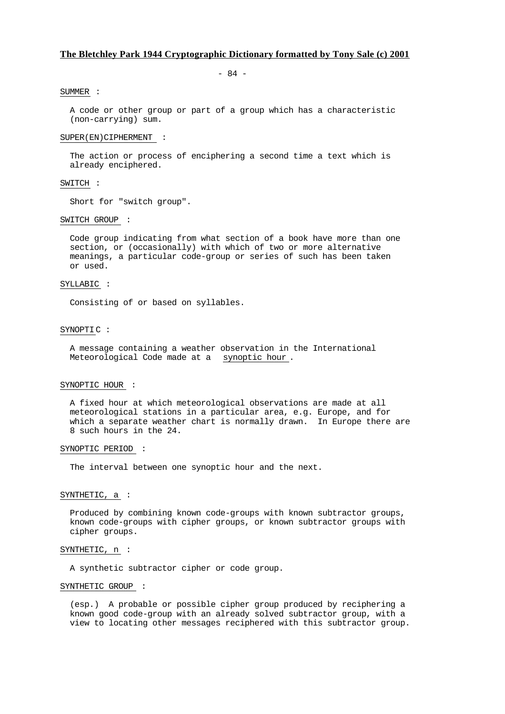- 84 -

#### SUMMER :

 A code or other group or part of a group which has a characteristic (non-carrying) sum.

#### SUPER(EN)CIPHERMENT :

 The action or process of enciphering a second time a text which is already enciphered.

## SWITCH :

Short for "switch group".

### SWITCH GROUP :

 Code group indicating from what section of a book have more than one section, or (occasionally) with which of two or more alternative meanings, a particular code-group or series of such has been taken or used.

## SYLLABIC :

Consisting of or based on syllables.

## SYNOPTI C :

 A message containing a weather observation in the International Meteorological Code made at a synoptic hour .

## SYNOPTIC HOUR :

 A fixed hour at which meteorological observations are made at all meteorological stations in a particular area, e.g. Europe, and for which a separate weather chart is normally drawn. In Europe there are 8 such hours in the 24.

## SYNOPTIC PERIOD :

The interval between one synoptic hour and the next.

## SYNTHETIC, a :

 Produced by combining known code-groups with known subtractor groups, known code-groups with cipher groups, or known subtractor groups with cipher groups.

### SYNTHETIC, n :

A synthetic subtractor cipher or code group.

#### SYNTHETIC GROUP :

 (esp.) A probable or possible cipher group produced by reciphering a known good code-group with an already solved subtractor group, with a view to locating other messages reciphered with this subtractor group.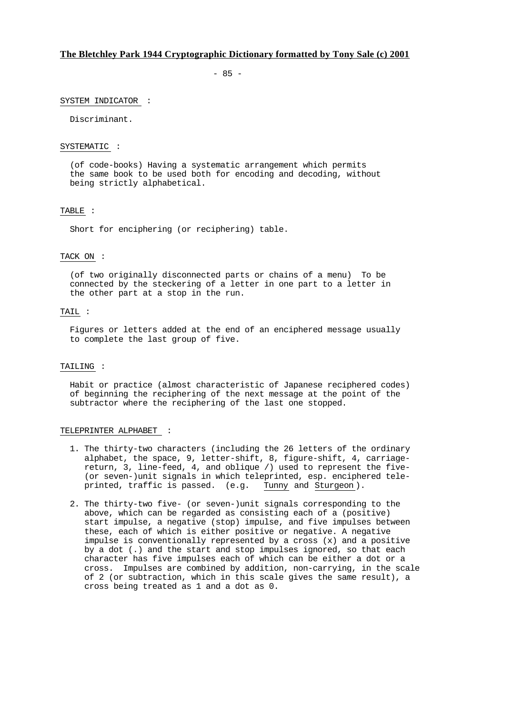$- 85 -$ 

## SYSTEM INDICATOR :

Discriminant.

## SYSTEMATIC :

 (of code-books) Having a systematic arrangement which permits the same book to be used both for encoding and decoding, without being strictly alphabetical.

## TABLE :

Short for enciphering (or reciphering) table.

## TACK ON :

 (of two originally disconnected parts or chains of a menu) To be connected by the steckering of a letter in one part to a letter in the other part at a stop in the run.

## TAIL :

 Figures or letters added at the end of an enciphered message usually to complete the last group of five.

### TAILING :

 Habit or practice (almost characteristic of Japanese reciphered codes) of beginning the reciphering of the next message at the point of the subtractor where the reciphering of the last one stopped.

### TELEPRINTER ALPHABET :

- 1. The thirty-two characters (including the 26 letters of the ordinary alphabet, the space, 9, letter-shift, 8, figure-shift, 4, carriage return, 3, line-feed, 4, and oblique /) used to represent the five- (or seven-)unit signals in which teleprinted, esp. enciphered tele-<br>printed, traffic is passed. (e.g. Tunny and Sturgeon). printed, traffic is passed. (e.g.
- 2. The thirty-two five- (or seven-)unit signals corresponding to the above, which can be regarded as consisting each of a (positive) start impulse, a negative (stop) impulse, and five impulses between these, each of which is either positive or negative. A negative impulse is conventionally represented by a cross  $(x)$  and a positive by a dot (.) and the start and stop impulses ignored, so that each character has five impulses each of which can be either a dot or a cross. Impulses are combined by addition, non-carrying, in the scale of 2 (or subtraction, which in this scale gives the same result), a cross being treated as 1 and a dot as 0.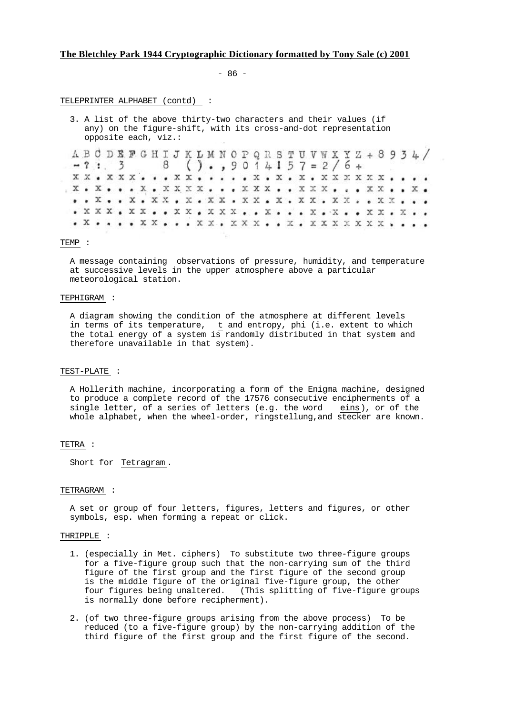$- 86 -$ 

## TELEPRINTER ALPHABET (contd) :

|  |                      |  |  |  |  |  | 3. A list of the above thirty-two characters and their values (if<br>any) on the figure-shift, with its cross-and-dot representation |  |  |  |  |  |  |  |  |  |
|--|----------------------|--|--|--|--|--|--------------------------------------------------------------------------------------------------------------------------------------|--|--|--|--|--|--|--|--|--|
|  | opposite each, viz.: |  |  |  |  |  |                                                                                                                                      |  |  |  |  |  |  |  |  |  |
|  |                      |  |  |  |  |  | ABCDEFGHIJKLMNOPQRSTUVWXYZ+8934/                                                                                                     |  |  |  |  |  |  |  |  |  |
|  |                      |  |  |  |  |  | $-7:3$ 8 ()., 9014157=2/6+                                                                                                           |  |  |  |  |  |  |  |  |  |
|  |                      |  |  |  |  |  |                                                                                                                                      |  |  |  |  |  |  |  |  |  |
|  |                      |  |  |  |  |  | X . X X . X X X X X X X X X X X X .                                                                                                  |  |  |  |  |  |  |  |  |  |
|  |                      |  |  |  |  |  |                                                                                                                                      |  |  |  |  |  |  |  |  |  |
|  |                      |  |  |  |  |  |                                                                                                                                      |  |  |  |  |  |  |  |  |  |
|  |                      |  |  |  |  |  | . X X X X X . X X X X . X X X X X X X                                                                                                |  |  |  |  |  |  |  |  |  |
|  |                      |  |  |  |  |  |                                                                                                                                      |  |  |  |  |  |  |  |  |  |

#### TEMP :

 A message containing observations of pressure, humidity, and temperature at successive levels in the upper atmosphere above a particular meteorological station.

## TEPHIGRAM :

 A diagram showing the condition of the atmosphere at different levels in terms of its temperature, t and entropy, phi (i.e. extent to which the total energy of a system is randomly distributed in that system and therefore unavailable in that system).

### TEST-PLATE :

 A Hollerith machine, incorporating a form of the Enigma machine, designed to produce a complete record of the 17576 consecutive encipherments of a single letter, of a series of letters (e.g. the word eins), or of the whole alphabet, when the wheel-order, ringstellung, and stecker are known.

#### TETRA :

Short for Tetragram .

#### TETRAGRAM :

 A set or group of four letters, figures, letters and figures, or other symbols, esp. when forming a repeat or click.

# THRIPPLE :

- 1. (especially in Met. ciphers) To substitute two three-figure groups for a five-figure group such that the non-carrying sum of the third figure of the first group and the first figure of the second group is the middle figure of the original five-figure group, the other four figures being unaltered. (This splitting of five-figure groups is normally done before recipherment).
- 2. (of two three-figure groups arising from the above process) To be reduced (to a five-figure group) by the non-carrying addition of the third figure of the first group and the first figure of the second.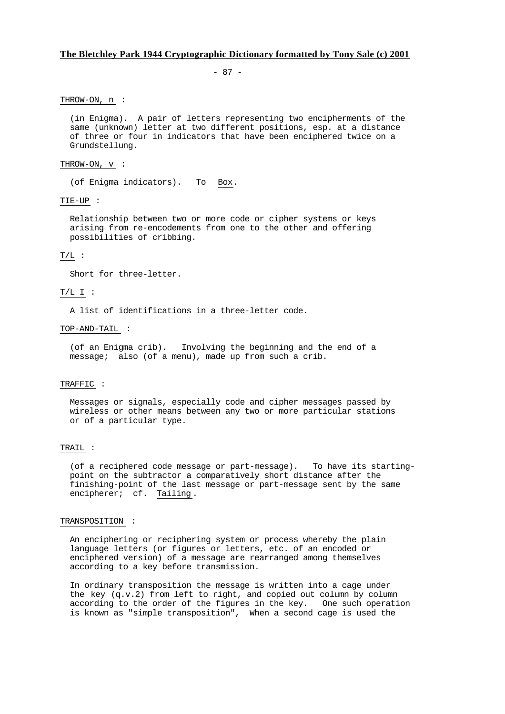$- 87 -$ 

THROW-ON, n :

 (in Enigma). A pair of letters representing two encipherments of the same (unknown) letter at two different positions, esp. at a distance of three or four in indicators that have been enciphered twice on a Grundstellung.

## THROW-ON, v :

(of Enigma indicators). To Box.

## TIE-UP :

 Relationship between two or more code or cipher systems or keys arising from re-encodements from one to the other and offering possibilities of cribbing.

## $T/L$  :

Short for three-letter.

## $T/L$  I :

A list of identifications in a three-letter code.

## TOP-AND-TAIL :

 (of an Enigma crib). Involving the beginning and the end of a message; also (of a menu), made up from such a crib.

# TRAFFIC :

 Messages or signals, especially code and cipher messages passed by wireless or other means between any two or more particular stations or of a particular type.

#### TRAIL :

 (of a reciphered code message or part-message). To have its starting point on the subtractor a comparatively short distance after the finishing-point of the last message or part-message sent by the same encipherer; cf. Tailing.

### TRANSPOSITION :

 An enciphering or reciphering system or process whereby the plain language letters (or figures or letters, etc. of an encoded or enciphered version) of a message are rearranged among themselves according to a key before transmission.

 In ordinary transposition the message is written into a cage under the key (q.v.2) from left to right, and copied out column by column according to the order of the figures in the key. One such operation is known as "simple transposition", When a second cage is used the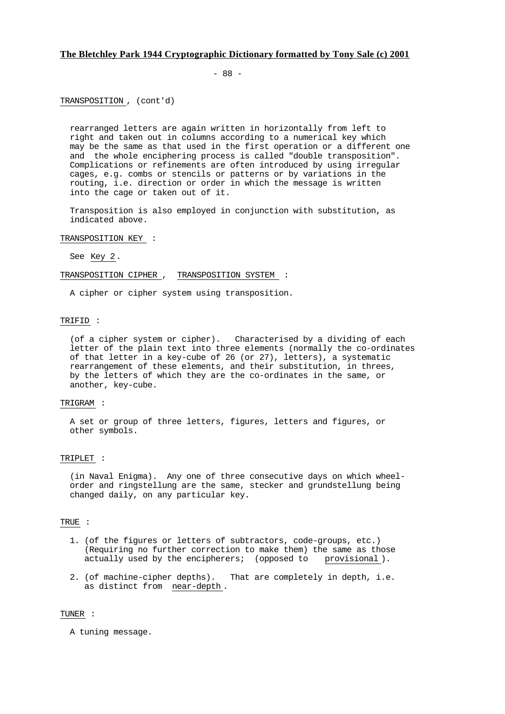- 88 -

TRANSPOSITION , (cont'd)

 rearranged letters are again written in horizontally from left to right and taken out in columns according to a numerical key which may be the same as that used in the first operation or a different one and the whole enciphering process is called "double transposition". Complications or refinements are often introduced by using irregular cages, e.g. combs or stencils or patterns or by variations in the routing, i.e. direction or order in which the message is written into the cage or taken out of it.

 Transposition is also employed in conjunction with substitution, as indicated above.

## TRANSPOSITION KEY :

See Key 2.

#### TRANSPOSITION CIPHER , TRANSPOSITION SYSTEM :

A cipher or cipher system using transposition.

### TRIFID :

 (of a cipher system or cipher). Characterised by a dividing of each letter of the plain text into three elements (normally the co-ordinates of that letter in a key-cube of 26 (or 27), letters), a systematic rearrangement of these elements, and their substitution, in threes, by the letters of which they are the co-ordinates in the same, or another, key-cube.

## TRIGRAM :

 A set or group of three letters, figures, letters and figures, or other symbols.

### TRIPLET :

 (in Naval Enigma). Any one of three consecutive days on which wheel order and ringstellung are the same, stecker and grundstellung being changed daily, on any particular key.

# TRUE :

- 1. (of the figures or letters of subtractors, code-groups, etc.) (Requiring no further correction to make them) the same as those actually used by the encipherers; (opposed to provisional ).
- 2. (of machine-cipher depths). That are completely in depth, i.e. as distinct from near-depth .

#### TUNER :

A tuning message.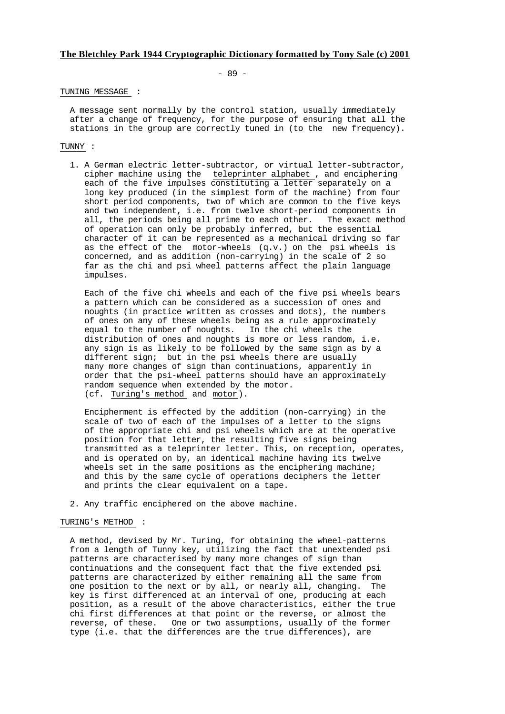- 89 -

### TUNING MESSAGE :

 A message sent normally by the control station, usually immediately after a change of frequency, for the purpose of ensuring that all the stations in the group are correctly tuned in (to the new frequency).

# TUNNY :

 1. A German electric letter-subtractor, or virtual letter-subtractor, cipher machine using the teleprinter alphabet , and enciphering each of the five impulses constituting a letter separately on a long key produced (in the simplest form of the machine) from four short period components, two of which are common to the five keys and two independent, i.e. from twelve short-period components in all, the periods being all prime to each other. The exact method of operation can only be probably inferred, but the essential character of it can be represented as a mechanical driving so far as the effect of the motor-wheels (q.v.) on the psi wheels is concerned, and as addition (non-carrying) in the scale of 2 so far as the chi and psi wheel patterns affect the plain language impulses.

 Each of the five chi wheels and each of the five psi wheels bears a pattern which can be considered as a succession of ones and noughts (in practice written as crosses and dots), the numbers of ones on any of these wheels being as a rule approximately equal to the number of noughts. In the chi wheels the distribution of ones and noughts is more or less random, i.e. any sign is as likely to be followed by the same sign as by a different sign; but in the psi wheels there are usually many more changes of sign than continuations, apparently in order that the psi-wheel patterns should have an approximately random sequence when extended by the motor. (cf. Turing's method and motor).

 Encipherment is effected by the addition (non-carrying) in the scale of two of each of the impulses of a letter to the signs of the appropriate chi and psi wheels which are at the operative position for that letter, the resulting five signs being transmitted as a teleprinter letter. This, on reception, operates, and is operated on by, an identical machine having its twelve wheels set in the same positions as the enciphering machine; and this by the same cycle of operations deciphers the letter and prints the clear equivalent on a tape.

2. Any traffic enciphered on the above machine.

### TURING's METHOD :

 A method, devised by Mr. Turing, for obtaining the wheel-patterns from a length of Tunny key, utilizing the fact that unextended psi patterns are characterised by many more changes of sign than continuations and the consequent fact that the five extended psi patterns are characterized by either remaining all the same from one position to the next or by all, or nearly all, changing. The key is first differenced at an interval of one, producing at each position, as a result of the above characteristics, either the true chi first differences at that point or the reverse, or almost the reverse, of these. One or two assumptions, usually of the former type (i.e. that the differences are the true differences), are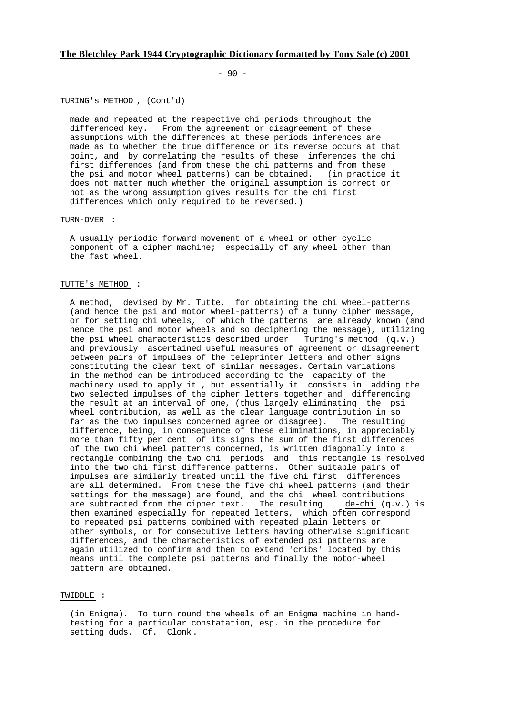$-90 -$ 

# TURING's METHOD , (Cont'd)

 made and repeated at the respective chi periods throughout the differenced key. From the agreement or disagreement of these assumptions with the differences at these periods inferences are made as to whether the true difference or its reverse occurs at that point, and by correlating the results of these inferences the chi first differences (and from these the chi patterns and from these the psi and motor wheel patterns) can be obtained. (in practice it does not matter much whether the original assumption is correct or not as the wrong assumption gives results for the chi first differences which only required to be reversed.)

### TURN-OVER :

 A usually periodic forward movement of a wheel or other cyclic component of a cipher machine; especially of any wheel other than the fast wheel.

## TUTTE's METHOD :

 A method, devised by Mr. Tutte, for obtaining the chi wheel-patterns (and hence the psi and motor wheel-patterns) of a tunny cipher message, or for setting chi wheels, of which the patterns are already known (and hence the psi and motor wheels and so deciphering the message), utilizing the psi wheel characteristics described under Turing's method (q.v.) and previously ascertained useful measures of agreement or disagreement between pairs of impulses of the teleprinter letters and other signs constituting the clear text of similar messages. Certain variations in the method can be introduced according to the capacity of the machinery used to apply it , but essentially it consists in adding the two selected impulses of the cipher letters together and differencing the result at an interval of one, (thus largely eliminating the psi wheel contribution, as well as the clear language contribution in so far as the two impulses concerned agree or disagree). The resulting difference, being, in consequence of these eliminations, in appreciably more than fifty per cent of its signs the sum of the first differences of the two chi wheel patterns concerned, is written diagonally into a rectangle combining the two chi periods and this rectangle is resolved into the two chi first difference patterns. Other suitable pairs of impulses are similarly treated until the five chi first differences are all determined. From these the five chi wheel patterns (and their settings for the message) are found, and the chi wheel contributions<br>are subtracted from the cipher text. The resulting de-chi  $(q.v.)$  is are subtracted from the cipher text. The resulting then examined especially for repeated letters, which often correspond to repeated psi patterns combined with repeated plain letters or other symbols, or for consecutive letters having otherwise significant differences, and the characteristics of extended psi patterns are again utilized to confirm and then to extend 'cribs' located by this means until the complete psi patterns and finally the motor-wheel pattern are obtained.

## TWIDDLE :

 (in Enigma). To turn round the wheels of an Enigma machine in hand testing for a particular constatation, esp. in the procedure for setting duds. Cf. Clonk.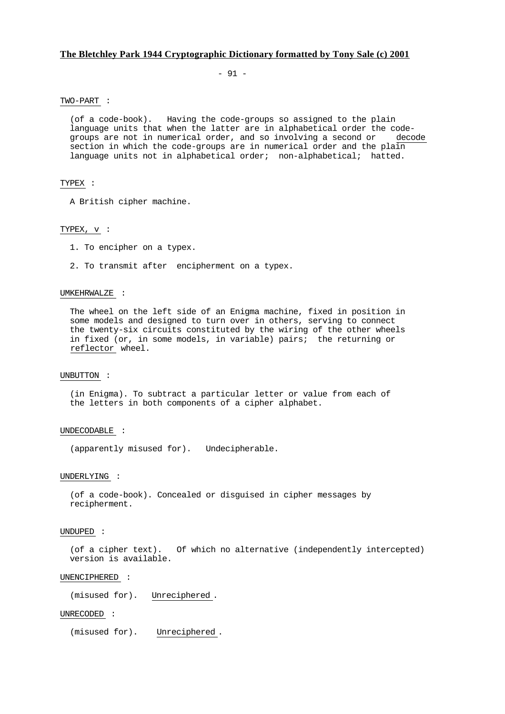$-91 -$ 

TWO-PART :

 (of a code-book). Having the code-groups so assigned to the plain language units that when the latter are in alphabetical order the code groups are not in numerical order, and so involving a second or decode section in which the code-groups are in numerical order and the plain language units not in alphabetical order; non-alphabetical; hatted.

## TYPEX :

A British cipher machine.

## TYPEX, v :

- 1. To encipher on a typex.
- 2. To transmit after encipherment on a typex.

# UMKEHRWALZE :

 The wheel on the left side of an Enigma machine, fixed in position in some models and designed to turn over in others, serving to connect the twenty-six circuits constituted by the wiring of the other wheels in fixed (or, in some models, in variable) pairs; the returning or reflector wheel.

## UNBUTTON :

 (in Enigma). To subtract a particular letter or value from each of the letters in both components of a cipher alphabet.

## UNDECODABLE :

(apparently misused for). Undecipherable.

## UNDERLYING :

 (of a code-book). Concealed or disguised in cipher messages by recipherment.

### UNDUPED :

 (of a cipher text). Of which no alternative (independently intercepted) version is available.

#### UNENCIPHERED :

(misused for). Unreciphered .

#### UNRECODED :

(misused for). Unreciphered .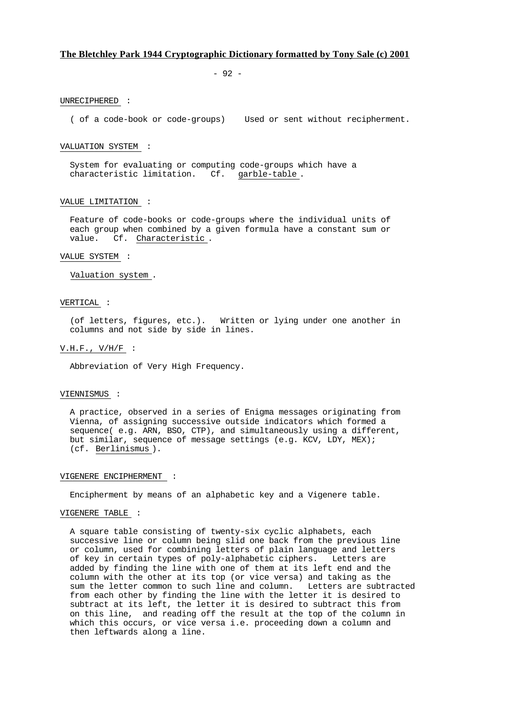$-92 -$ 

## UNRECIPHERED :

( of a code-book or code-groups) Used or sent without recipherment.

#### VALUATION SYSTEM :

 System for evaluating or computing code-groups which have a characteristic limitation. Cf. garble-table .

# VALUE LIMITATION :

 Feature of code-books or code-groups where the individual units of each group when combined by a given formula have a constant sum or value. Cf. Characteristic .

### VALUE SYSTEM :

Valuation system .

### VERTICAL :

 (of letters, figures, etc.). Written or lying under one another in columns and not side by side in lines.

# V.H.F., V/H/F :

Abbreviation of Very High Frequency.

### VIENNISMUS :

 A practice, observed in a series of Enigma messages originating from Vienna, of assigning successive outside indicators which formed a sequence( e.g. ARN, BSO, CTP), and simultaneously using a different, but similar, sequence of message settings (e.g. KCV, LDY, MEX); (cf. Berlinismus ).

### VIGENERE ENCIPHERMENT :

Encipherment by means of an alphabetic key and a Vigenere table.

#### VIGENERE TABLE :

 A square table consisting of twenty-six cyclic alphabets, each successive line or column being slid one back from the previous line or column, used for combining letters of plain language and letters of key in certain types of poly-alphabetic ciphers. Letters are added by finding the line with one of them at its left end and the column with the other at its top (or vice versa) and taking as the sum the letter common to such line and column. Letters are subtracted from each other by finding the line with the letter it is desired to subtract at its left, the letter it is desired to subtract this from on this line, and reading off the result at the top of the column in which this occurs, or vice versa i.e. proceeding down a column and then leftwards along a line.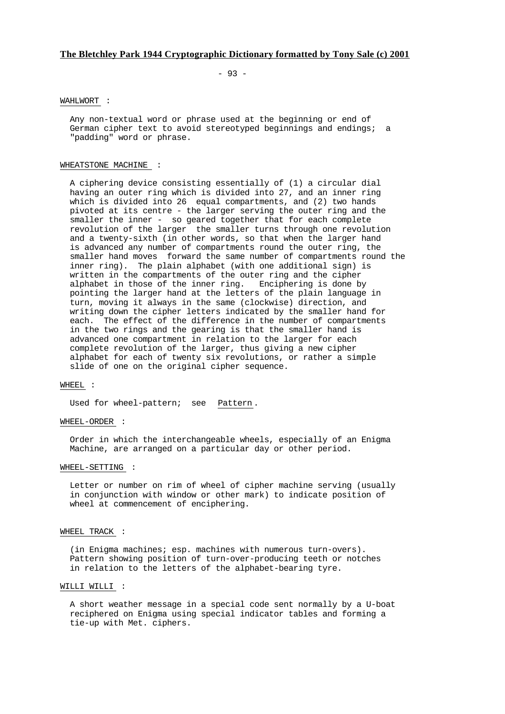$-93 -$ 

## WAHLWORT :

 Any non-textual word or phrase used at the beginning or end of German cipher text to avoid stereotyped beginnings and endings; a "padding" word or phrase.

## WHEATSTONE MACHINE :

 A ciphering device consisting essentially of (1) a circular dial having an outer ring which is divided into 27, and an inner ring which is divided into 26 equal compartments, and (2) two hands pivoted at its centre - the larger serving the outer ring and the smaller the inner - so geared together that for each complete revolution of the larger the smaller turns through one revolution and a twenty-sixth (in other words, so that when the larger hand is advanced any number of compartments round the outer ring, the smaller hand moves forward the same number of compartments round the inner ring). The plain alphabet (with one additional sign) is written in the compartments of the outer ring and the cipher alphabet in those of the inner ring. Enciphering is done by pointing the larger hand at the letters of the plain language in turn, moving it always in the same (clockwise) direction, and writing down the cipher letters indicated by the smaller hand for each. The effect of the difference in the number of compartments in the two rings and the gearing is that the smaller hand is advanced one compartment in relation to the larger for each complete revolution of the larger, thus giving a new cipher alphabet for each of twenty six revolutions, or rather a simple slide of one on the original cipher sequence.

### WHEEL :

Used for wheel-pattern; see Pattern .

### WHEEL-ORDER :

 Order in which the interchangeable wheels, especially of an Enigma Machine, are arranged on a particular day or other period.

### WHEEL-SETTING :

 Letter or number on rim of wheel of cipher machine serving (usually in conjunction with window or other mark) to indicate position of wheel at commencement of enciphering.

## WHEEL TRACK :

 (in Enigma machines; esp. machines with numerous turn-overs). Pattern showing position of turn-over-producing teeth or notches in relation to the letters of the alphabet-bearing tyre.

### WILLI WILLI :

 A short weather message in a special code sent normally by a U-boat reciphered on Enigma using special indicator tables and forming a tie-up with Met. ciphers.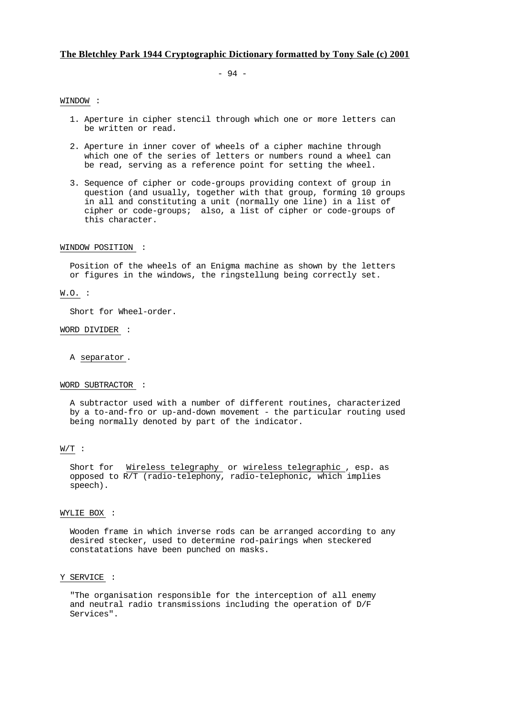- 94 -

# WINDOW :

- 1. Aperture in cipher stencil through which one or more letters can be written or read.
- 2. Aperture in inner cover of wheels of a cipher machine through which one of the series of letters or numbers round a wheel can be read, serving as a reference point for setting the wheel.
- 3. Sequence of cipher or code-groups providing context of group in question (and usually, together with that group, forming 10 groups in all and constituting a unit (normally one line) in a list of cipher or code-groups; also, a list of cipher or code-groups of this character.

### WINDOW POSITION :

 Position of the wheels of an Enigma machine as shown by the letters or figures in the windows, the ringstellung being correctly set.

## W.O. :

Short for Wheel-order.

### WORD DIVIDER :

### A separator .

### WORD SUBTRACTOR :

 A subtractor used with a number of different routines, characterized by a to-and-fro or up-and-down movement - the particular routing used being normally denoted by part of the indicator.

## $W/T$  :

Short for Wireless telegraphy or wireless telegraphic, esp. as opposed to R/T (radio-telephony, radio-telephonic, which implies speech).

#### WYLIE BOX :

 Wooden frame in which inverse rods can be arranged according to any desired stecker, used to determine rod-pairings when steckered constatations have been punched on masks.

#### Y SERVICE :

 "The organisation responsible for the interception of all enemy and neutral radio transmissions including the operation of D/F Services".